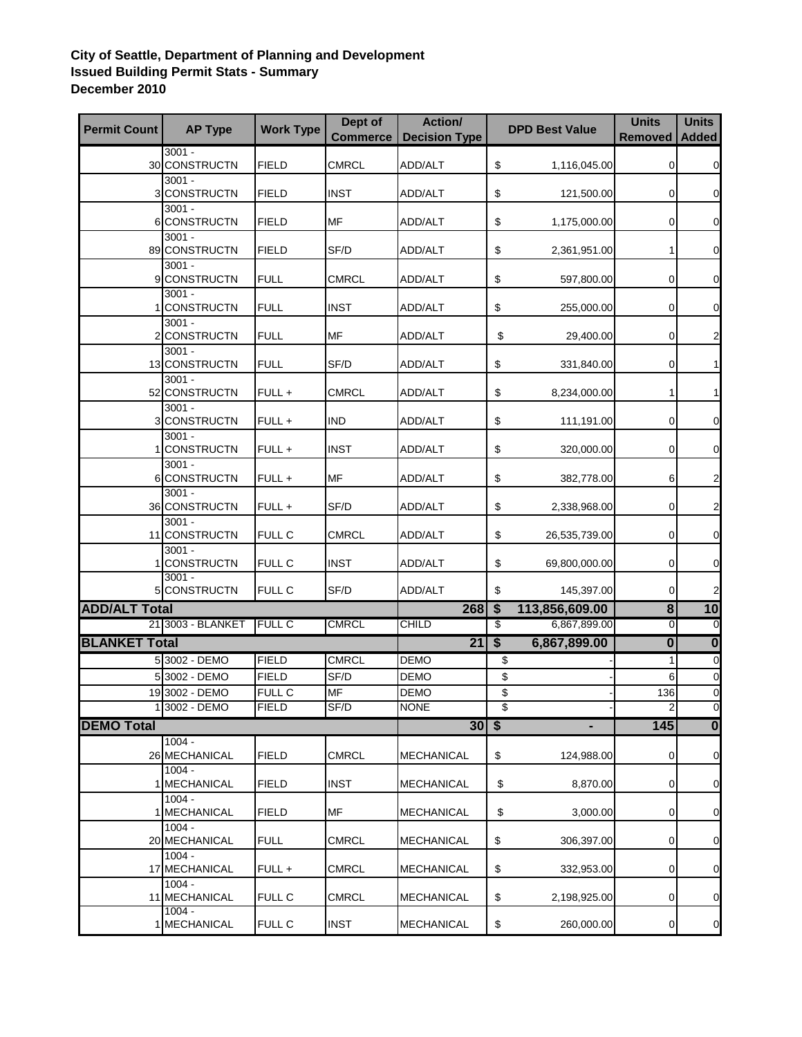## **City of Seattle, Department of Planning and Development Issued Building Permit Stats - Summary December 2010**

| <b>Permit Count</b>  | <b>AP Type</b>                | <b>Work Type</b> | Dept of<br><b>Commerce</b> | Action/<br><b>Decision Type</b> |                           | <b>DPD Best Value</b> | <b>Units</b><br><b>Removed</b> | <b>Units</b><br><b>Added</b> |
|----------------------|-------------------------------|------------------|----------------------------|---------------------------------|---------------------------|-----------------------|--------------------------------|------------------------------|
|                      | $3001 -$<br>30 CONSTRUCTN     | <b>FIELD</b>     | <b>CMRCL</b>               | ADD/ALT                         | \$                        | 1,116,045.00          | $\Omega$                       | $\mathbf 0$                  |
|                      | $3001 -$<br>3 CONSTRUCTN      | <b>FIELD</b>     | <b>INST</b>                | ADD/ALT                         | \$                        | 121,500.00            | $\mathbf 0$                    | $\mathbf 0$                  |
|                      | $3001 -$<br>6 CONSTRUCTN      | <b>FIELD</b>     | <b>MF</b>                  | ADD/ALT                         | \$                        | 1,175,000.00          | $\Omega$                       | 0                            |
|                      | $3001 -$<br>89 CONSTRUCTN     | <b>FIELD</b>     | SF/D                       | ADD/ALT                         | \$                        | 2,361,951.00          |                                | $\mathbf 0$                  |
|                      | $3001 -$<br>9 CONSTRUCTN      | <b>FULL</b>      | CMRCL                      | ADD/ALT                         | \$                        | 597,800.00            | $\mathbf 0$                    | $\mathbf 0$                  |
|                      | $3001 -$<br><b>CONSTRUCTN</b> | <b>FULL</b>      | <b>INST</b>                | ADD/ALT                         | \$                        | 255,000.00            | $\overline{0}$                 | 0                            |
|                      | $3001 -$<br>2 CONSTRUCTN      | <b>FULL</b>      | <b>MF</b>                  | ADD/ALT                         | \$                        | 29,400.00             | 0                              | 2                            |
|                      | $3001 -$<br>13 CONSTRUCTN     | <b>FULL</b>      | SF/D                       | ADD/ALT                         | \$                        | 331,840.00            | $\mathbf 0$                    | 1                            |
|                      | $3001 -$<br>52 CONSTRUCTN     | FULL +           | <b>CMRCL</b>               | ADD/ALT                         | \$                        | 8,234,000.00          | 1                              | 1                            |
|                      | $3001 -$<br>3 CONSTRUCTN      | FULL +           | <b>IND</b>                 | ADD/ALT                         | $\boldsymbol{\mathsf{S}}$ | 111,191.00            | $\mathbf 0$                    | $\boldsymbol{0}$             |
|                      | $3001 -$<br><b>CONSTRUCTN</b> | FULL +           | <b>INST</b>                | ADD/ALT                         | $\boldsymbol{\mathsf{S}}$ | 320,000.00            | $\mathbf 0$                    | $\mathbf 0$                  |
|                      | $3001 -$<br>6 CONSTRUCTN      | FULL +           | MF                         | ADD/ALT                         | \$                        | 382,778.00            | 6                              | $\overline{c}$               |
|                      | $3001 -$<br>36 CONSTRUCTN     | FULL+            | SF/D                       | ADD/ALT                         | \$                        | 2,338,968.00          | $\mathbf 0$                    | $\overline{\mathbf{c}}$      |
|                      | $3001 -$<br>11 CONSTRUCTN     | <b>FULL C</b>    | <b>CMRCL</b>               | ADD/ALT                         | \$                        | 26,535,739.00         | $\overline{0}$                 | $\mathbf 0$                  |
|                      | $3001 -$<br>1 CONSTRUCTN      | <b>FULL C</b>    | <b>INST</b>                | ADD/ALT                         | \$                        | 69,800,000.00         | 0                              | $\mathbf 0$                  |
|                      | $3001 -$<br>5 CONSTRUCTN      | FULL C           | SF/D                       | ADD/ALT                         | \$                        | 145,397.00            | $\overline{0}$                 | 2                            |
| <b>ADD/ALT Total</b> |                               |                  |                            | $268$   \$                      |                           | 113,856,609.00        | $\overline{\mathbf{8}}$        | 10                           |
|                      | 21 3003 - BLANKET             | <b>FULL C</b>    | <b>CMRCL</b>               | <b>CHILD</b>                    | $\overline{\mathcal{E}}$  | 6,867,899.00          | $\mathbf 0$                    | $\overline{0}$               |
| <b>BLANKET Total</b> |                               |                  |                            | $\overline{21}$                 | $\overline{\mathbf{s}}$   | 6,867,899.00          | 0                              | $\overline{\mathbf{0}}$      |
|                      | 5 3002 - DEMO                 | <b>FIELD</b>     | <b>CMRCL</b>               | <b>DEMO</b>                     | \$                        |                       | 1                              | $\mathbf 0$                  |
|                      | 5 3002 - DEMO                 | <b>FIELD</b>     | SF/D                       | <b>DEMO</b>                     | \$                        |                       | 6                              | $\mathbf 0$                  |
|                      | 19 3002 - DEMO                | <b>FULL C</b>    | <b>MF</b>                  | <b>DEMO</b>                     | \$                        |                       | 136                            | $\mathbf 0$                  |
|                      | 1 3002 - DEMO                 | <b>FIELD</b>     | SF/D                       | <b>NONE</b>                     | \$                        |                       | $\overline{2}$                 | $\overline{0}$               |
| <b>DEMO Total</b>    |                               |                  |                            | $30 $ \$                        |                           |                       | 145                            | $\overline{\mathbf{0}}$      |
|                      | $1004 -$<br>26 MECHANICAL     | <b>FIELD</b>     | <b>CMRCL</b>               | <b>MECHANICAL</b>               | \$                        | 124,988.00            | $\overline{0}$                 | $\mathbf 0$                  |
|                      | $1004 -$<br>1 MECHANICAL      | <b>FIELD</b>     | <b>INST</b>                | <b>MECHANICAL</b>               | \$                        | 8,870.00              | 0                              | $\boldsymbol{0}$             |
|                      | $1004 -$<br>1 MECHANICAL      | <b>FIELD</b>     | MF                         | <b>MECHANICAL</b>               | \$                        | 3,000.00              | $\Omega$                       | $\mathbf 0$                  |
|                      | $1004 -$<br>20 MECHANICAL     | <b>FULL</b>      | <b>CMRCL</b>               | MECHANICAL                      | \$                        | 306,397.00            | $\Omega$                       | $\mathbf 0$                  |
|                      | $1004 -$<br>17 MECHANICAL     | FULL +           | <b>CMRCL</b>               | MECHANICAL                      | \$                        | 332,953.00            | 0                              | $\mathbf 0$                  |
|                      | $1004 -$<br>11 MECHANICAL     | FULL C           | <b>CMRCL</b>               | <b>MECHANICAL</b>               | \$                        | 2,198,925.00          | $\Omega$                       | $\mathbf 0$                  |
|                      | $1004 -$<br>1 MECHANICAL      | FULL C           | <b>INST</b>                | <b>MECHANICAL</b>               | \$                        | 260,000.00            | 0                              | $\mathbf 0$                  |